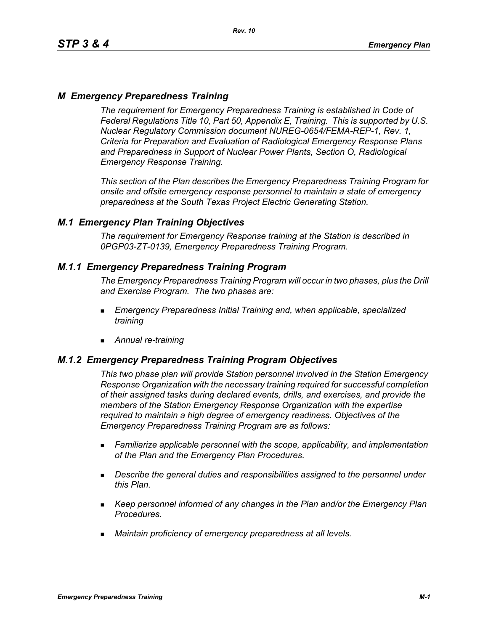# *M Emergency Preparedness Training*

*The requirement for Emergency Preparedness Training is established in Code of Federal Regulations Title 10, Part 50, Appendix E, Training. This is supported by U.S. Nuclear Regulatory Commission document NUREG-0654/FEMA-REP-1, Rev. 1, Criteria for Preparation and Evaluation of Radiological Emergency Response Plans and Preparedness in Support of Nuclear Power Plants, Section O, Radiological Emergency Response Training.*

*This section of the Plan describes the Emergency Preparedness Training Program for onsite and offsite emergency response personnel to maintain a state of emergency preparedness at the South Texas Project Electric Generating Station.*

## *M.1 Emergency Plan Training Objectives*

*The requirement for Emergency Response training at the Station is described in 0PGP03-ZT-0139, Emergency Preparedness Training Program.*

## *M.1.1 Emergency Preparedness Training Program*

*The Emergency Preparedness Training Program will occur in two phases, plus the Drill and Exercise Program. The two phases are:*

- *Emergency Preparedness Initial Training and, when applicable, specialized training*
- *Annual re-training*

## *M.1.2 Emergency Preparedness Training Program Objectives*

*This two phase plan will provide Station personnel involved in the Station Emergency Response Organization with the necessary training required for successful completion of their assigned tasks during declared events, drills, and exercises, and provide the members of the Station Emergency Response Organization with the expertise required to maintain a high degree of emergency readiness. Objectives of the Emergency Preparedness Training Program are as follows:*

- *Familiarize applicable personnel with the scope, applicability, and implementation of the Plan and the Emergency Plan Procedures.*
- *Describe the general duties and responsibilities assigned to the personnel under this Plan.*
- *Keep personnel informed of any changes in the Plan and/or the Emergency Plan Procedures.*
- *Maintain proficiency of emergency preparedness at all levels.*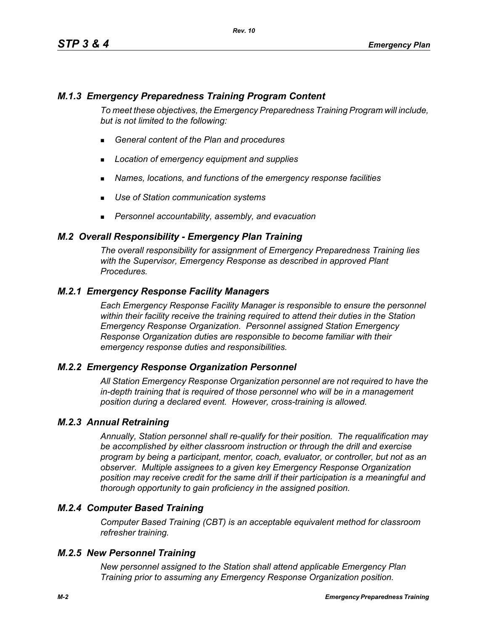# *M.1.3 Emergency Preparedness Training Program Content*

*To meet these objectives, the Emergency Preparedness Training Program will include, but is not limited to the following:*

- *General content of the Plan and procedures*
- *Location of emergency equipment and supplies*
- *Names, locations, and functions of the emergency response facilities*
- *Use of Station communication systems*
- *Personnel accountability, assembly, and evacuation*

### *M.2 Overall Responsibility - Emergency Plan Training*

*The overall responsibility for assignment of Emergency Preparedness Training lies with the Supervisor, Emergency Response as described in approved Plant Procedures.*

## *M.2.1 Emergency Response Facility Managers*

*Each Emergency Response Facility Manager is responsible to ensure the personnel within their facility receive the training required to attend their duties in the Station Emergency Response Organization. Personnel assigned Station Emergency Response Organization duties are responsible to become familiar with their emergency response duties and responsibilities.*

#### *M.2.2 Emergency Response Organization Personnel*

*All Station Emergency Response Organization personnel are not required to have the in-depth training that is required of those personnel who will be in a management position during a declared event. However, cross-training is allowed.*

#### *M.2.3 Annual Retraining*

*Annually, Station personnel shall re-qualify for their position. The requalification may be accomplished by either classroom instruction or through the drill and exercise program by being a participant, mentor, coach, evaluator, or controller, but not as an observer. Multiple assignees to a given key Emergency Response Organization position may receive credit for the same drill if their participation is a meaningful and thorough opportunity to gain proficiency in the assigned position.*

## *M.2.4 Computer Based Training*

*Computer Based Training (CBT) is an acceptable equivalent method for classroom refresher training.*

#### *M.2.5 New Personnel Training*

*New personnel assigned to the Station shall attend applicable Emergency Plan Training prior to assuming any Emergency Response Organization position.*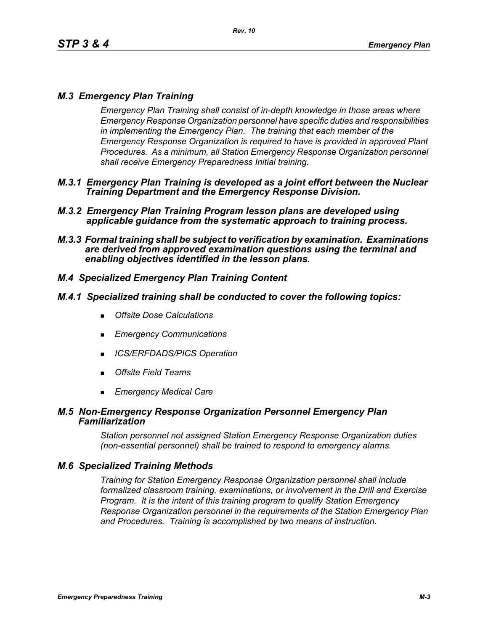# *M.3 Emergency Plan Training*

*Emergency Plan Training shall consist of in-depth knowledge in those areas where Emergency Response Organization personnel have specific duties and responsibilities in implementing the Emergency Plan. The training that each member of the Emergency Response Organization is required to have is provided in approved Plant Procedures. As a minimum, all Station Emergency Response Organization personnel shall receive Emergency Preparedness Initial training.*

- *M.3.1 Emergency Plan Training is developed as a joint effort between the Nuclear Training Department and the Emergency Response Division.*
- *M.3.2 Emergency Plan Training Program lesson plans are developed using applicable guidance from the systematic approach to training process.*
- *M.3.3 Formal training shall be subject to verification by examination. Examinations are derived from approved examination questions using the terminal and enabling objectives identified in the lesson plans.*

# *M.4 Specialized Emergency Plan Training Content*

#### *M.4.1 Specialized training shall be conducted to cover the following topics:*

- *Offsite Dose Calculations*
- *Emergency Communications*
- *ICS/ERFDADS/PICS Operation*
- *Offsite Field Teams*
- *Emergency Medical Care*

#### *M.5 Non-Emergency Response Organization Personnel Emergency Plan Familiarization*

*Station personnel not assigned Station Emergency Response Organization duties (non-essential personnel) shall be trained to respond to emergency alarms.*

## *M.6 Specialized Training Methods*

*Training for Station Emergency Response Organization personnel shall include formalized classroom training, examinations, or involvement in the Drill and Exercise Program. It is the intent of this training program to qualify Station Emergency Response Organization personnel in the requirements of the Station Emergency Plan and Procedures. Training is accomplished by two means of instruction.*